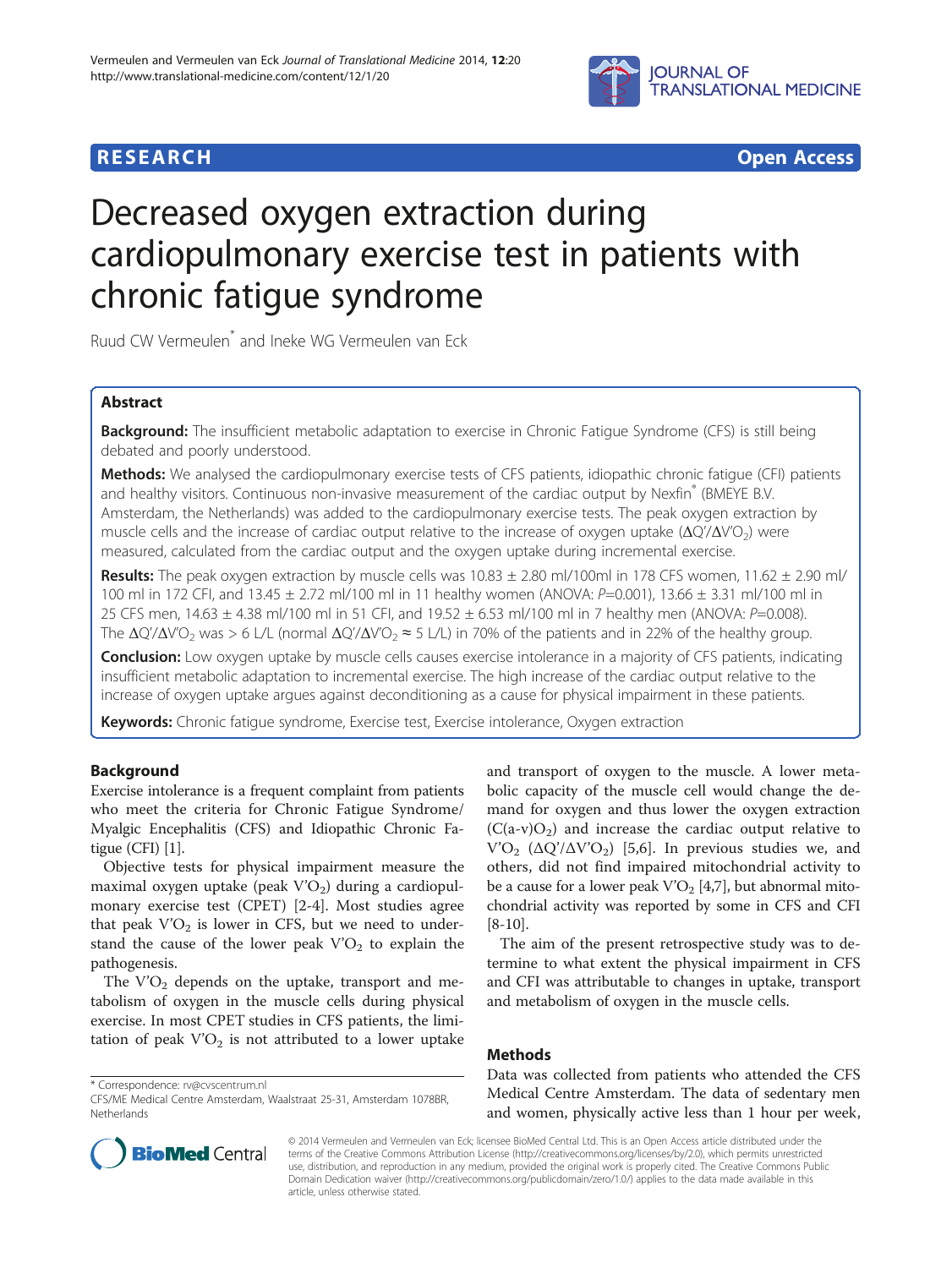

# **RESEARCH CHEAR CHEAR CHEAR CHEAR CHEAR CHEAR CHEAR CHEAR CHEAR CHEAR CHEAR CHEAR CHEAR CHEAR CHEAR CHEAR CHEAR**

# Decreased oxygen extraction during cardiopulmonary exercise test in patients with chronic fatigue syndrome

Ruud CW Vermeulen\* and Ineke WG Vermeulen van Eck

# Abstract

Background: The insufficient metabolic adaptation to exercise in Chronic Fatigue Syndrome (CFS) is still being debated and poorly understood.

Methods: We analysed the cardiopulmonary exercise tests of CFS patients, idiopathic chronic fatigue (CFI) patients and healthy visitors. Continuous non-invasive measurement of the cardiac output by Nexfin® (BMEYE B.V. Amsterdam, the Netherlands) was added to the cardiopulmonary exercise tests. The peak oxygen extraction by muscle cells and the increase of cardiac output relative to the increase of oxygen uptake  $(\Delta Q'/\Delta V'O_2)$  were measured, calculated from the cardiac output and the oxygen uptake during incremental exercise.

Results: The peak oxygen extraction by muscle cells was  $10.83 \pm 2.80$  ml/100ml in 178 CFS women,  $11.62 \pm 2.90$  ml/ 100 ml in 172 CFI, and 13.45 ± 2.72 ml/100 ml in 11 healthy women (ANOVA: P=0.001), 13.66 ± 3.31 ml/100 ml in 25 CFS men, 14.63 ± 4.38 ml/100 ml in 51 CFI, and 19.52 ± 6.53 ml/100 ml in 7 healthy men (ANOVA: P=0.008). The  $\Delta Q'/\Delta V'O_2$  was > 6 L/L (normal  $\Delta Q'/\Delta V'O_2 \approx 5$  L/L) in 70% of the patients and in 22% of the healthy group.

**Conclusion:** Low oxygen uptake by muscle cells causes exercise intolerance in a majority of CFS patients, indicating insufficient metabolic adaptation to incremental exercise. The high increase of the cardiac output relative to the increase of oxygen uptake argues against deconditioning as a cause for physical impairment in these patients.

Keywords: Chronic fatigue syndrome, Exercise test, Exercise intolerance, Oxygen extraction

# Background

Exercise intolerance is a frequent complaint from patients who meet the criteria for Chronic Fatigue Syndrome/ Myalgic Encephalitis (CFS) and Idiopathic Chronic Fatigue (CFI) [[1](#page-5-0)].

Objective tests for physical impairment measure the maximal oxygen uptake (peak  $V'O<sub>2</sub>$ ) during a cardiopulmonary exercise test (CPET) [\[2-4](#page-5-0)]. Most studies agree that peak  $V'O<sub>2</sub>$  is lower in CFS, but we need to understand the cause of the lower peak  $V'O<sub>2</sub>$  to explain the pathogenesis.

The  $V'O<sub>2</sub>$  depends on the uptake, transport and metabolism of oxygen in the muscle cells during physical exercise. In most CPET studies in CFS patients, the limitation of peak  $V'O<sub>2</sub>$  is not attributed to a lower uptake

\* Correspondence: [rv@cvscentrum.nl](mailto:rv@cvscentrum.nl)

and transport of oxygen to the muscle. A lower metabolic capacity of the muscle cell would change the demand for oxygen and thus lower the oxygen extraction  $(C(a-v)O<sub>2</sub>)$  and increase the cardiac output relative to  $V'O<sub>2</sub>$  (ΔQ'/ΔV'O<sub>2</sub>) [[5,6](#page-5-0)]. In previous studies we, and others, did not find impaired mitochondrial activity to be a cause for a lower peak  $V'O<sub>2</sub>$  [\[4,7\]](#page-5-0), but abnormal mitochondrial activity was reported by some in CFS and CFI [[8-10\]](#page-5-0).

The aim of the present retrospective study was to determine to what extent the physical impairment in CFS and CFI was attributable to changes in uptake, transport and metabolism of oxygen in the muscle cells.

# Methods

Data was collected from patients who attended the CFS Medical Centre Amsterdam. The data of sedentary men and women, physically active less than 1 hour per week,



© 2014 Vermeulen and Vermeulen van Eck; licensee BioMed Central Ltd. This is an Open Access article distributed under the terms of the Creative Commons Attribution License (<http://creativecommons.org/licenses/by/2.0>), which permits unrestricted use, distribution, and reproduction in any medium, provided the original work is properly cited. The Creative Commons Public Domain Dedication waiver [\(http://creativecommons.org/publicdomain/zero/1.0/\)](http://creativecommons.org/publicdomain/zero/1.0/) applies to the data made available in this article, unless otherwise stated.

CFS/ME Medical Centre Amsterdam, Waalstraat 25-31, Amsterdam 1078BR, Netherlands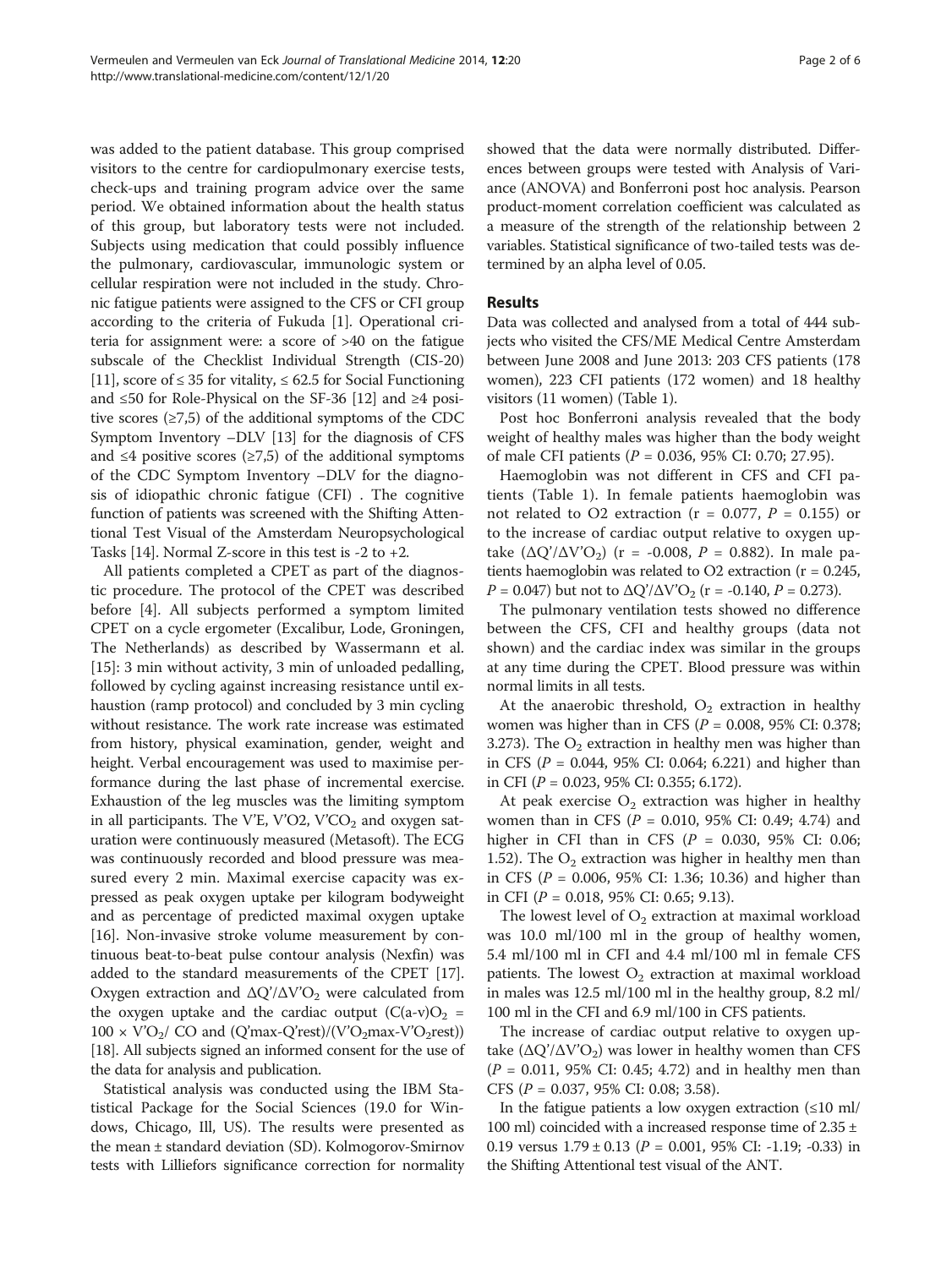was added to the patient database. This group comprised visitors to the centre for cardiopulmonary exercise tests, check-ups and training program advice over the same period. We obtained information about the health status of this group, but laboratory tests were not included. Subjects using medication that could possibly influence the pulmonary, cardiovascular, immunologic system or cellular respiration were not included in the study. Chronic fatigue patients were assigned to the CFS or CFI group according to the criteria of Fukuda [[1](#page-5-0)]. Operational criteria for assignment were: a score of >40 on the fatigue subscale of the Checklist Individual Strength (CIS-20) [[11](#page-5-0)], score of  $\leq$  35 for vitality,  $\leq$  62.5 for Social Functioning and ≤50 for Role-Physical on the SF-36 [\[12\]](#page-5-0) and ≥4 positive scores  $(≥7,5)$  of the additional symptoms of the CDC Symptom Inventory –DLV [\[13\]](#page-5-0) for the diagnosis of CFS and  $\leq 4$  positive scores ( $\geq 7.5$ ) of the additional symptoms of the CDC Symptom Inventory –DLV for the diagnosis of idiopathic chronic fatigue (CFI) . The cognitive function of patients was screened with the Shifting Attentional Test Visual of the Amsterdam Neuropsychological Tasks [[14](#page-5-0)]. Normal Z-score in this test is  $-2$  to  $+2$ .

All patients completed a CPET as part of the diagnostic procedure. The protocol of the CPET was described before [[4\]](#page-5-0). All subjects performed a symptom limited CPET on a cycle ergometer (Excalibur, Lode, Groningen, The Netherlands) as described by Wassermann et al. [[15\]](#page-5-0): 3 min without activity, 3 min of unloaded pedalling, followed by cycling against increasing resistance until exhaustion (ramp protocol) and concluded by 3 min cycling without resistance. The work rate increase was estimated from history, physical examination, gender, weight and height. Verbal encouragement was used to maximise performance during the last phase of incremental exercise. Exhaustion of the leg muscles was the limiting symptom in all participants. The V'E, V'O2, V'CO<sub>2</sub> and oxygen saturation were continuously measured (Metasoft). The ECG was continuously recorded and blood pressure was measured every 2 min. Maximal exercise capacity was expressed as peak oxygen uptake per kilogram bodyweight and as percentage of predicted maximal oxygen uptake [[16](#page-5-0)]. Non-invasive stroke volume measurement by continuous beat-to-beat pulse contour analysis (Nexfin) was added to the standard measurements of the CPET [[17](#page-5-0)]. Oxygen extraction and  $\Delta Q'/\Delta V'O_2$  were calculated from the oxygen uptake and the cardiac output  $(C(a-v)O<sub>2</sub> =$  $100 \times \text{V'O}_2$ / CO and (Q'max-Q'rest)/(V'O<sub>2</sub>max-V'O<sub>2</sub>rest)) [[18](#page-5-0)]. All subjects signed an informed consent for the use of the data for analysis and publication.

Statistical analysis was conducted using the IBM Statistical Package for the Social Sciences (19.0 for Windows, Chicago, Ill, US). The results were presented as the mean ± standard deviation (SD). Kolmogorov-Smirnov tests with Lilliefors significance correction for normality

showed that the data were normally distributed. Differences between groups were tested with Analysis of Variance (ANOVA) and Bonferroni post hoc analysis. Pearson product-moment correlation coefficient was calculated as a measure of the strength of the relationship between 2 variables. Statistical significance of two-tailed tests was determined by an alpha level of 0.05.

# Results

Data was collected and analysed from a total of 444 subjects who visited the CFS/ME Medical Centre Amsterdam between June 2008 and June 2013: 203 CFS patients (178 women), 223 CFI patients (172 women) and 18 healthy visitors (11 women) (Table [1\)](#page-2-0).

Post hoc Bonferroni analysis revealed that the body weight of healthy males was higher than the body weight of male CFI patients ( $P = 0.036$ , 95% CI: 0.70; 27.95).

Haemoglobin was not different in CFS and CFI patients (Table [1](#page-2-0)). In female patients haemoglobin was not related to O2 extraction ( $r = 0.077$ ,  $P = 0.155$ ) or to the increase of cardiac output relative to oxygen uptake  $(\Delta Q'/\Delta V'O_2)$  (r = -0.008, P = 0.882). In male patients haemoglobin was related to O2 extraction ( $r = 0.245$ ,  $P = 0.047$ ) but not to  $\Delta Q'/\Delta V'O_2$  (r = -0.140,  $P = 0.273$ ).

The pulmonary ventilation tests showed no difference between the CFS, CFI and healthy groups (data not shown) and the cardiac index was similar in the groups at any time during the CPET. Blood pressure was within normal limits in all tests.

At the anaerobic threshold,  $O_2$  extraction in healthy women was higher than in CFS ( $P = 0.008$ , 95% CI: 0.378; 3.273). The  $O_2$  extraction in healthy men was higher than in CFS ( $P = 0.044$ , 95% CI: 0.064; 6.221) and higher than in CFI ( $P = 0.023$ , 95% CI: 0.355; 6.172).

At peak exercise  $O_2$  extraction was higher in healthy women than in CFS ( $P = 0.010$ , 95% CI: 0.49; 4.74) and higher in CFI than in CFS ( $P = 0.030, 95\%$  CI: 0.06; 1.52). The  $O_2$  extraction was higher in healthy men than in CFS (P = 0.006, 95% CI: 1.36; 10.36) and higher than in CFI ( $P = 0.018$ , 95% CI: 0.65; 9.13).

The lowest level of  $O_2$  extraction at maximal workload was 10.0 ml/100 ml in the group of healthy women, 5.4 ml/100 ml in CFI and 4.4 ml/100 ml in female CFS patients. The lowest  $O_2$  extraction at maximal workload in males was 12.5 ml/100 ml in the healthy group, 8.2 ml/ 100 ml in the CFI and 6.9 ml/100 in CFS patients.

The increase of cardiac output relative to oxygen uptake  $(\Delta Q'/\Delta V'O_2)$  was lower in healthy women than CFS  $(P = 0.011, 95\% \text{ CI: } 0.45; 4.72)$  and in healthy men than CFS (P = 0.037, 95% CI: 0.08; 3.58).

In the fatigue patients a low oxygen extraction  $(\leq 10 \text{ ml})$ 100 ml) coincided with a increased response time of  $2.35 \pm$ 0.19 versus  $1.79 \pm 0.13$  ( $P = 0.001$ , 95% CI: -1.19; -0.33) in the Shifting Attentional test visual of the ANT.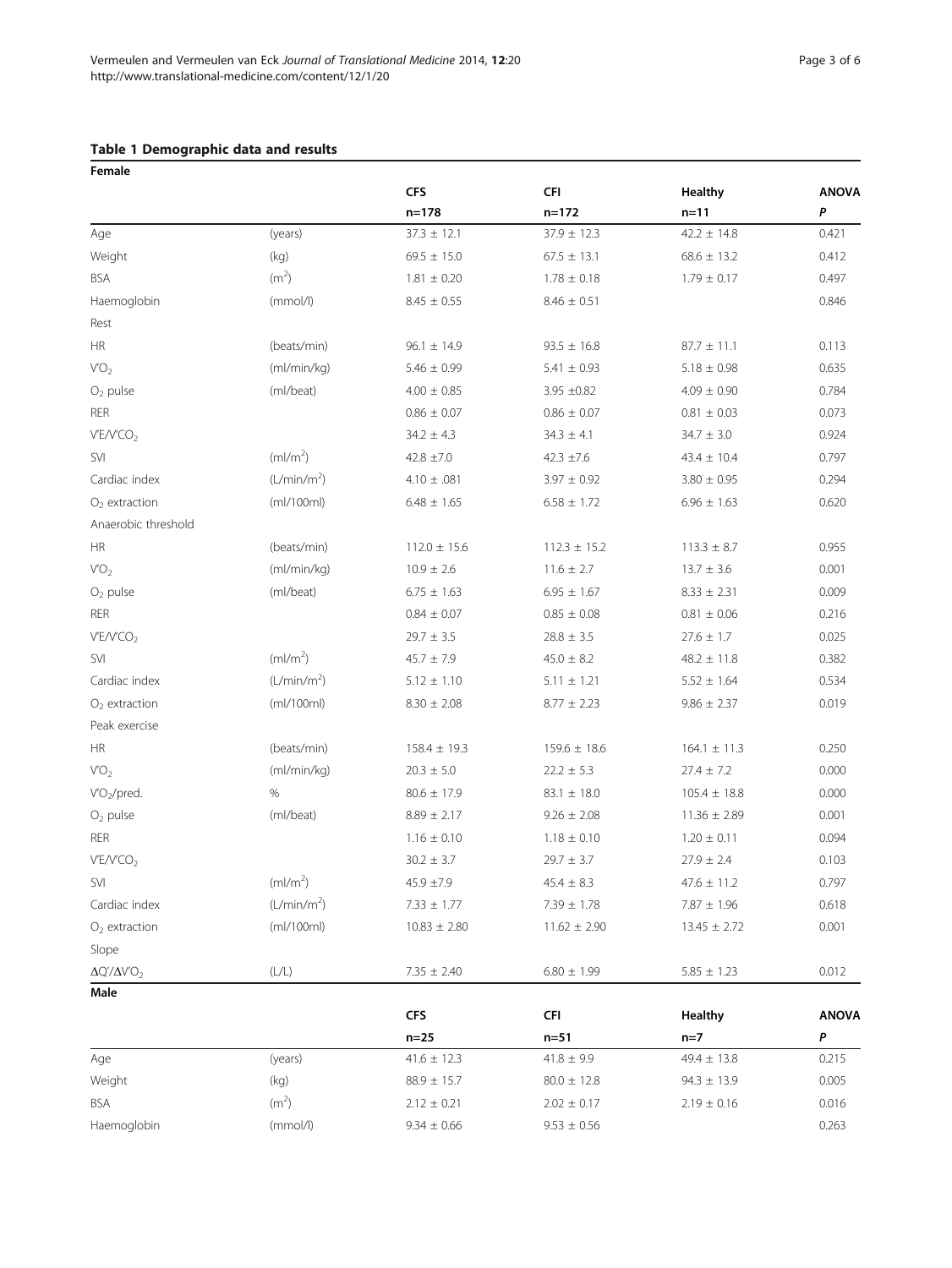# <span id="page-2-0"></span>Table 1 Demographic data and results

| Female                   |                           |                  |                   |                     |              |
|--------------------------|---------------------------|------------------|-------------------|---------------------|--------------|
|                          |                           | <b>CFS</b>       | <b>CFI</b>        | Healthy             | <b>ANOVA</b> |
|                          |                           | $n = 178$        | $n = 172$         | $n=11$              | P            |
| Age                      | (years)                   | $37.3 \pm 12.1$  | $37.9 \pm 12.3$   | $42.2 \pm 14.8$     | 0.421        |
| Weight                   | (kg)                      | $69.5 \pm 15.0$  | $67.5 \pm 13.1$   | $68.6 \pm 13.2$     | 0.412        |
| <b>BSA</b>               | (m <sup>2</sup> )         | $1.81 \pm 0.20$  | $1.78 \pm 0.18$   | $1.79 \pm 0.17$     | 0.497        |
| Haemoglobin              | (mmol/l)                  | $8.45 \pm 0.55$  | $8.46 \pm 0.51$   |                     | 0.846        |
| Rest                     |                           |                  |                   |                     |              |
| <b>HR</b>                | (beats/min)               | $96.1 \pm 14.9$  | $93.5 \pm 16.8$   | $87.7 \pm 11.1$     | 0.113        |
| VO <sub>2</sub>          | (ml/min/kg)               | $5.46 \pm 0.99$  | $5.41 \pm 0.93$   | $5.18 \pm 0.98$     | 0.635        |
| $O2$ pulse               | (ml/beat)                 | $4.00 \pm 0.85$  | $3.95 \pm 0.82$   | $4.09 \pm 0.90$     | 0.784        |
| <b>RER</b>               |                           | $0.86 \pm 0.07$  | $0.86 \pm 0.07$   | $0.81 \pm 0.03$     | 0.073        |
| V'E/V'CO <sub>2</sub>    |                           | $34.2 \pm 4.3$   | $34.3 \pm 4.1$    | $34.7 \pm 3.0$      | 0.924        |
| SVI                      | (ml/m <sup>2</sup> )      | $42.8 \pm 7.0$   | $42.3 \pm 7.6$    | $43.4 \pm 10.4$     | 0.797        |
| Cardiac index            | (L/min/m <sup>2</sup> )   | $4.10 \pm .081$  | $3.97 \pm 0.92$   | $3.80 \pm 0.95$     | 0.294        |
| $O2$ extraction          | (mI/100ml)                | $6.48 \pm 1.65$  | $6.58 \pm 1.72$   | $6.96 \pm 1.63$     | 0.620        |
| Anaerobic threshold      |                           |                  |                   |                     |              |
| HR                       | (beats/min)               | $112.0 \pm 15.6$ | $112.3 \pm 15.2$  | $113.3 \pm 8.7$     | 0.955        |
| VO <sub>2</sub>          | (ml/min/kg)               | $10.9 \pm 2.6$   | $11.6 \pm 2.7$    | $13.7 \pm 3.6$      | 0.001        |
| $O2$ pulse               | (ml/beat)                 | $6.75 \pm 1.63$  | $6.95 \pm 1.67$   | $8.33 \pm 2.31$     | 0.009        |
| <b>RER</b>               |                           | $0.84 \pm 0.07$  | $0.85 \pm 0.08$   | $0.81 \pm 0.06$     | 0.216        |
| V'E/V'CO <sub>2</sub>    |                           | $29.7 \pm 3.5$   | $28.8 \pm 3.5$    | $27.6 \pm 1.7$      | 0.025        |
| <b>SVI</b>               | (ml/m <sup>2</sup> )      | $45.7 \pm 7.9$   | $45.0 \pm 8.2$    | $48.2 \pm 11.8$     | 0.382        |
| Cardiac index            | (L/min/m <sup>2</sup> )   | $5.12 \pm 1.10$  | $5.11 \pm 1.21$   | $5.52 \pm 1.64$     | 0.534        |
| $O2$ extraction          | (mI/100ml)                | $8.30 \pm 2.08$  | $8.77 \pm 2.23$   | $9.86 \pm 2.37$     | 0.019        |
| Peak exercise            |                           |                  |                   |                     |              |
| HR                       | (beats/min)               | $158.4 \pm 19.3$ | $159.6 \pm 18.6$  | $164.1 \pm 11.3$    | 0.250        |
| VO <sub>2</sub>          | (ml/min/kg)               | $20.3 \pm 5.0$   | $22.2 \pm 5.3$    | $27.4 \pm 7.2$      | 0.000        |
| $VO_2/pred.$             | %                         | $80.6 \pm 17.9$  | $83.1 \pm 18.0$   | $105.4 \pm 18.8$    | 0.000        |
| $O2$ pulse               | (ml/beat)                 | $8.89 \pm 2.17$  | $9.26 \pm 2.08$   | $11.36 \pm 2.89$    | 0.001        |
| <b>RER</b>               |                           | $1.16 \pm 0.10$  | $1.18 \pm 0.10$   | $1.20 \pm 0.11$     | 0.094        |
| V'E/V'CO <sub>2</sub>    |                           | $30.2 \pm 3.7$   | $29.7 \pm 3.7$    | $27.9 \pm 2.4$      | 0.103        |
| SVI                      | (ml/m <sup>2</sup> )      | $45.9 \pm 7.9$   | $45.4 \pm 8.3$    | $47.6$ $\pm$ $11.2$ | 0.797        |
| Cardiac index            | (L/min/m <sup>2</sup> )   | $7.33 \pm 1.77$  | $7.39 \pm 1.78$   | $7.87 \pm 1.96$     | 0.618        |
| $O2$ extraction          | (mI/100ml)                | $10.83 \pm 2.80$ | $11.62 \pm 2.90$  | $13.45 \pm 2.72$    | 0.001        |
| Slope                    |                           |                  |                   |                     |              |
| $\Delta Q'/\Delta V'O_2$ | $(\mathsf{L}/\mathsf{L})$ | $7.35 \pm 2.40$  | $6.80 \pm 1.99$   | $5.85 \pm 1.23$     | 0.012        |
| Male                     |                           |                  |                   |                     |              |
|                          |                           | <b>CFS</b>       | <b>CFI</b>        | <b>Healthy</b>      | <b>ANOVA</b> |
|                          |                           | $n=25$           | $n=51$            | $n=7$               | P            |
| Age                      | (years)                   | $41.6 \pm 12.3$  | $41.8 \pm 9.9$    | $49.4 \pm 13.8$     | 0.215        |
| Weight                   | (kg)                      | $88.9 \pm 15.7$  | $80.0 \pm 12.8$   | $94.3 \pm 13.9$     | 0.005        |
| <b>BSA</b>               | (m <sup>2</sup> )         | $2.12 \pm 0.21$  | $2.02 \pm 0.17$   | $2.19 \pm 0.16$     | 0.016        |
| Haemoglobin              | (mmol/l)                  | $9.34 \pm 0.66$  | $9.53\,\pm\,0.56$ |                     | 0.263        |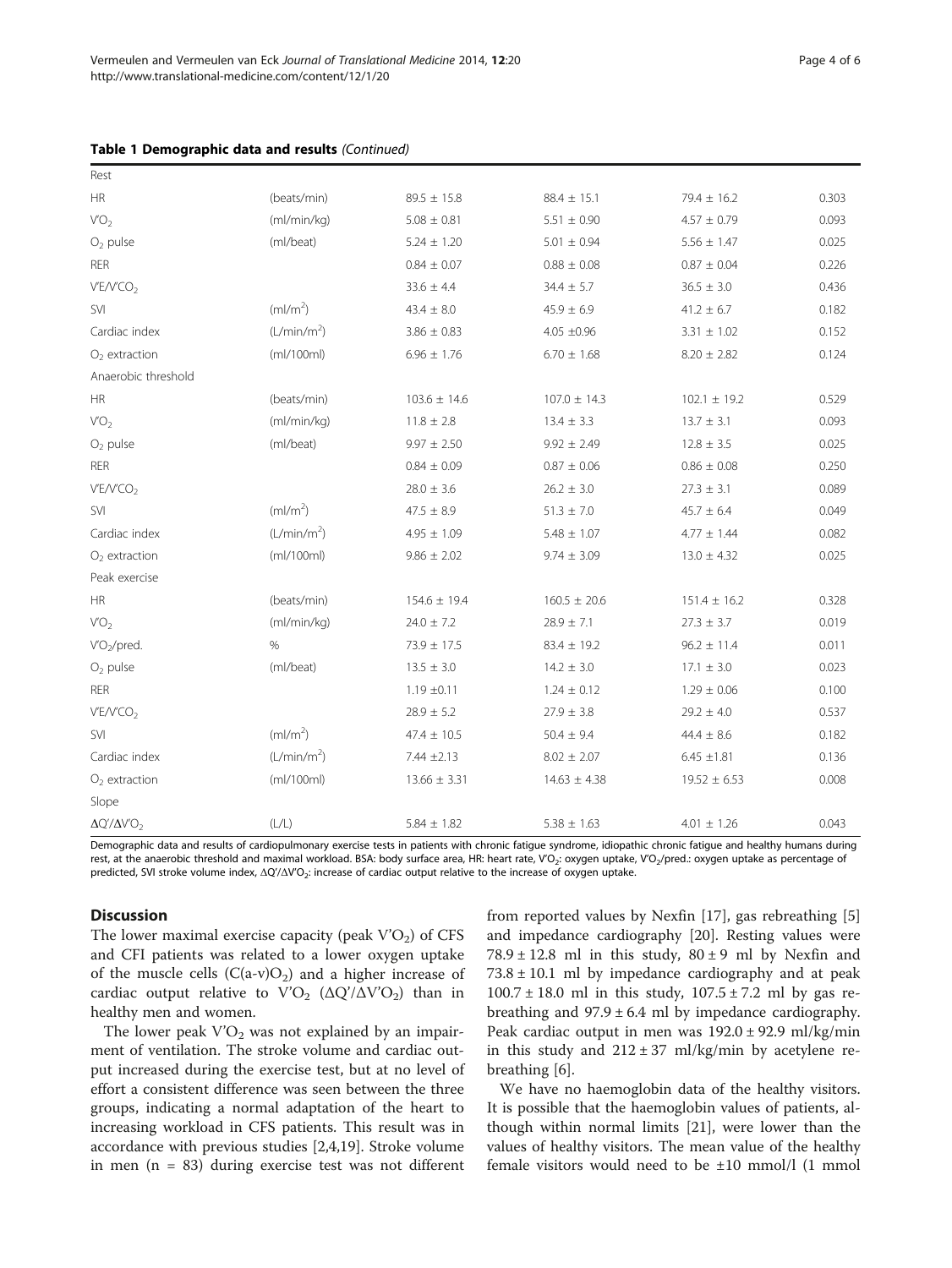|  |  | Table 1 Demographic data and results (Continued) |  |  |  |  |
|--|--|--------------------------------------------------|--|--|--|--|
|--|--|--------------------------------------------------|--|--|--|--|

| Rest                     |                         |                  |                  |                  |       |
|--------------------------|-------------------------|------------------|------------------|------------------|-------|
| <b>HR</b>                | (beats/min)             | $89.5 \pm 15.8$  | $88.4 \pm 15.1$  | $79.4 \pm 16.2$  | 0.303 |
| VO <sub>2</sub>          | (ml/min/kg)             | $5.08 \pm 0.81$  | $5.51 \pm 0.90$  | $4.57 \pm 0.79$  | 0.093 |
| $O2$ pulse               | (ml/beat)               | $5.24 \pm 1.20$  | $5.01 \pm 0.94$  | $5.56 \pm 1.47$  | 0.025 |
| <b>RER</b>               |                         | $0.84 \pm 0.07$  | $0.88 \pm 0.08$  | $0.87 \pm 0.04$  | 0.226 |
| V'E/V'CO <sub>2</sub>    |                         | $33.6 \pm 4.4$   | $34.4 \pm 5.7$   | $36.5 \pm 3.0$   | 0.436 |
| SVI                      | (ml/m <sup>2</sup> )    | $43.4 \pm 8.0$   | $45.9 \pm 6.9$   | $41.2 \pm 6.7$   | 0.182 |
| Cardiac index            | (L/min/m <sup>2</sup> ) | $3.86 \pm 0.83$  | $4.05 \pm 0.96$  | $3.31 \pm 1.02$  | 0.152 |
| $O2$ extraction          | (mI/100ml)              | $6.96 \pm 1.76$  | $6.70 \pm 1.68$  | $8.20 \pm 2.82$  | 0.124 |
| Anaerobic threshold      |                         |                  |                  |                  |       |
| <b>HR</b>                | (beats/min)             | $103.6 \pm 14.6$ | $107.0 \pm 14.3$ | $102.1 \pm 19.2$ | 0.529 |
| VO <sub>2</sub>          | (ml/min/kg)             | $11.8 \pm 2.8$   | $13.4 \pm 3.3$   | $13.7 \pm 3.1$   | 0.093 |
| $O2$ pulse               | (ml/beat)               | $9.97 \pm 2.50$  | $9.92 \pm 2.49$  | $12.8 \pm 3.5$   | 0.025 |
| <b>RER</b>               |                         | $0.84 \pm 0.09$  | $0.87 \pm 0.06$  | $0.86 \pm 0.08$  | 0.250 |
| V'E/V'CO <sub>2</sub>    |                         | $28.0 \pm 3.6$   | $26.2 \pm 3.0$   | $27.3 \pm 3.1$   | 0.089 |
| <b>SVI</b>               | (ml/m <sup>2</sup> )    | $47.5 \pm 8.9$   | $51.3 \pm 7.0$   | $45.7 \pm 6.4$   | 0.049 |
| Cardiac index            | (L/min/m <sup>2</sup> ) | $4.95 \pm 1.09$  | $5.48 \pm 1.07$  | $4.77 \pm 1.44$  | 0.082 |
| $O2$ extraction          | (mI/100ml)              | $9.86 \pm 2.02$  | $9.74 \pm 3.09$  | $13.0 \pm 4.32$  | 0.025 |
| Peak exercise            |                         |                  |                  |                  |       |
| $\mathsf{HR}$            | (beats/min)             | $154.6 \pm 19.4$ | $160.5 \pm 20.6$ | $151.4 \pm 16.2$ | 0.328 |
| V'O <sub>2</sub>         | (mI/min/kg)             | $24.0 \pm 7.2$   | $28.9 \pm 7.1$   | $27.3 \pm 3.7$   | 0.019 |
| VO <sub>2</sub> /pred.   | %                       | $73.9 \pm 17.5$  | $83.4 \pm 19.2$  | $96.2 \pm 11.4$  | 0.011 |
| $O2$ pulse               | (ml/beat)               | $13.5 \pm 3.0$   | $14.2 \pm 3.0$   | $17.1 \pm 3.0$   | 0.023 |
| <b>RER</b>               |                         | $1.19 \pm 0.11$  | $1.24 \pm 0.12$  | $1.29 \pm 0.06$  | 0.100 |
| V'E/V'CO <sub>2</sub>    |                         | $28.9 \pm 5.2$   | $27.9 \pm 3.8$   | $29.2 \pm 4.0$   | 0.537 |
| <b>SVI</b>               | (ml/m <sup>2</sup> )    | $47.4 \pm 10.5$  | $50.4 \pm 9.4$   | $44.4 \pm 8.6$   | 0.182 |
| Cardiac index            | (L/min/m <sup>2</sup> ) | $7.44 \pm 2.13$  | $8.02 \pm 2.07$  | $6.45 \pm 1.81$  | 0.136 |
| $O2$ extraction          | (mI/100ml)              | $13.66 \pm 3.31$ | $14.63 \pm 4.38$ | $19.52 \pm 6.53$ | 0.008 |
| Slope                    |                         |                  |                  |                  |       |
| $\Delta Q'/\Delta V'O_2$ | (L/L)                   | $5.84 \pm 1.82$  | $5.38 \pm 1.63$  | $4.01 \pm 1.26$  | 0.043 |

Demographic data and results of cardiopulmonary exercise tests in patients with chronic fatigue syndrome, idiopathic chronic fatigue and healthy humans during rest, at the anaerobic threshold and maximal workload. BSA: body surface area, HR: heart rate, V'O<sub>2</sub>: oxygen uptake, V'O<sub>2</sub>/pred.: oxygen uptake as percentage of predicted, SVI stroke volume index, ΔQ'/ΔV'O<sub>2</sub>: increase of cardiac output relative to the increase of oxygen uptake.

#### **Discussion**

The lower maximal exercise capacity (peak  $V'O<sub>2</sub>$ ) of CFS and CFI patients was related to a lower oxygen uptake of the muscle cells  $(C(a-v)O_2)$  and a higher increase of cardiac output relative to  $V'O_2$  ( $\Delta Q'/\Delta V'O_2$ ) than in healthy men and women.

The lower peak  $V'O<sub>2</sub>$  was not explained by an impairment of ventilation. The stroke volume and cardiac output increased during the exercise test, but at no level of effort a consistent difference was seen between the three groups, indicating a normal adaptation of the heart to increasing workload in CFS patients. This result was in accordance with previous studies [[2,4,19\]](#page-5-0). Stroke volume in men  $(n = 83)$  during exercise test was not different from reported values by Nexfin [[17\]](#page-5-0), gas rebreathing [\[5](#page-5-0)] and impedance cardiography [[20](#page-5-0)]. Resting values were  $78.9 \pm 12.8$  ml in this study,  $80 \pm 9$  ml by Nexfin and  $73.8 \pm 10.1$  ml by impedance cardiography and at peak  $100.7 \pm 18.0$  ml in this study,  $107.5 \pm 7.2$  ml by gas rebreathing and  $97.9 \pm 6.4$  ml by impedance cardiography. Peak cardiac output in men was 192.0 ± 92.9 ml/kg/min in this study and  $212 \pm 37$  ml/kg/min by acetylene rebreathing [[6\]](#page-5-0).

We have no haemoglobin data of the healthy visitors. It is possible that the haemoglobin values of patients, although within normal limits [[21](#page-5-0)], were lower than the values of healthy visitors. The mean value of the healthy female visitors would need to be ±10 mmol/l (1 mmol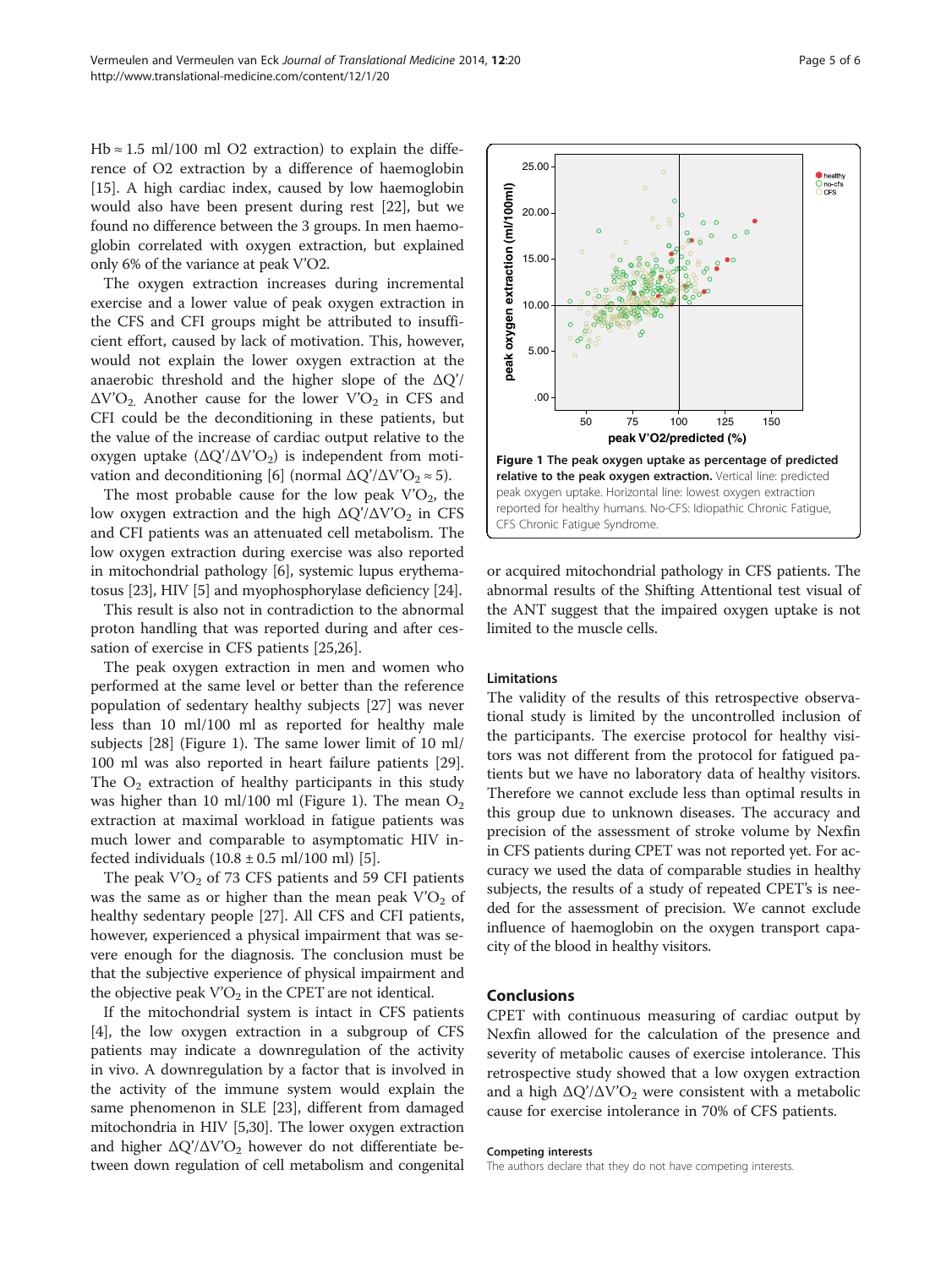Hb  $\approx$  1.5 ml/100 ml O2 extraction) to explain the difference of O2 extraction by a difference of haemoglobin [[15\]](#page-5-0). A high cardiac index, caused by low haemoglobin would also have been present during rest [[22](#page-5-0)], but we found no difference between the 3 groups. In men haemoglobin correlated with oxygen extraction, but explained only 6% of the variance at peak V'O2.

The oxygen extraction increases during incremental exercise and a lower value of peak oxygen extraction in the CFS and CFI groups might be attributed to insufficient effort, caused by lack of motivation. This, however, would not explain the lower oxygen extraction at the anaerobic threshold and the higher slope of the  $\Delta$ O'/  $\Delta V'O_2$ . Another cause for the lower V'O<sub>2</sub> in CFS and CFI could be the deconditioning in these patients, but the value of the increase of cardiac output relative to the oxygen uptake  $(\Delta Q'/\Delta V'O_2)$  is independent from moti-vation and deconditioning [\[6](#page-5-0)] (normal  $\Delta Q'/\Delta V'O_2 \approx 5$ ).

The most probable cause for the low peak  $V'O<sub>2</sub>$ , the low oxygen extraction and the high  $\Delta Q'/\Delta V'O_2$  in CFS and CFI patients was an attenuated cell metabolism. The low oxygen extraction during exercise was also reported in mitochondrial pathology [[6](#page-5-0)], systemic lupus erythematosus [\[23\]](#page-5-0), HIV [[5](#page-5-0)] and myophosphorylase deficiency [\[24\]](#page-5-0).

This result is also not in contradiction to the abnormal proton handling that was reported during and after cessation of exercise in CFS patients [\[25,26](#page-5-0)].

The peak oxygen extraction in men and women who performed at the same level or better than the reference population of sedentary healthy subjects [\[27](#page-5-0)] was never less than 10 ml/100 ml as reported for healthy male subjects [\[28\]](#page-5-0) (Figure 1). The same lower limit of 10 ml/ 100 ml was also reported in heart failure patients [\[29](#page-5-0)]. The  $O_2$  extraction of healthy participants in this study was higher than 10 ml/100 ml (Figure 1). The mean  $O_2$ extraction at maximal workload in fatigue patients was much lower and comparable to asymptomatic HIV infected individuals  $(10.8 \pm 0.5 \text{ ml}/100 \text{ ml})$  [[5\]](#page-5-0).

The peak  $V'O<sub>2</sub>$  of 73 CFS patients and 59 CFI patients was the same as or higher than the mean peak  $V'O<sub>2</sub>$  of healthy sedentary people [\[27\]](#page-5-0). All CFS and CFI patients, however, experienced a physical impairment that was severe enough for the diagnosis. The conclusion must be that the subjective experience of physical impairment and the objective peak  $\text{V'O}_2$  in the CPET are not identical.

If the mitochondrial system is intact in CFS patients [[4\]](#page-5-0), the low oxygen extraction in a subgroup of CFS patients may indicate a downregulation of the activity in vivo. A downregulation by a factor that is involved in the activity of the immune system would explain the same phenomenon in SLE [\[23](#page-5-0)], different from damaged mitochondria in HIV [\[5,30](#page-5-0)]. The lower oxygen extraction and higher  $\Delta Q'/\Delta V'O_2$  however do not differentiate between down regulation of cell metabolism and congenital



or acquired mitochondrial pathology in CFS patients. The abnormal results of the Shifting Attentional test visual of the ANT suggest that the impaired oxygen uptake is not limited to the muscle cells.

#### Limitations

The validity of the results of this retrospective observational study is limited by the uncontrolled inclusion of the participants. The exercise protocol for healthy visitors was not different from the protocol for fatigued patients but we have no laboratory data of healthy visitors. Therefore we cannot exclude less than optimal results in this group due to unknown diseases. The accuracy and precision of the assessment of stroke volume by Nexfin in CFS patients during CPET was not reported yet. For accuracy we used the data of comparable studies in healthy subjects, the results of a study of repeated CPET's is needed for the assessment of precision. We cannot exclude influence of haemoglobin on the oxygen transport capacity of the blood in healthy visitors.

### Conclusions

CPET with continuous measuring of cardiac output by Nexfin allowed for the calculation of the presence and severity of metabolic causes of exercise intolerance. This retrospective study showed that a low oxygen extraction and a high  $\Delta Q'/\Delta V'O_2$  were consistent with a metabolic cause for exercise intolerance in 70% of CFS patients.

#### Competing interests

The authors declare that they do not have competing interests.